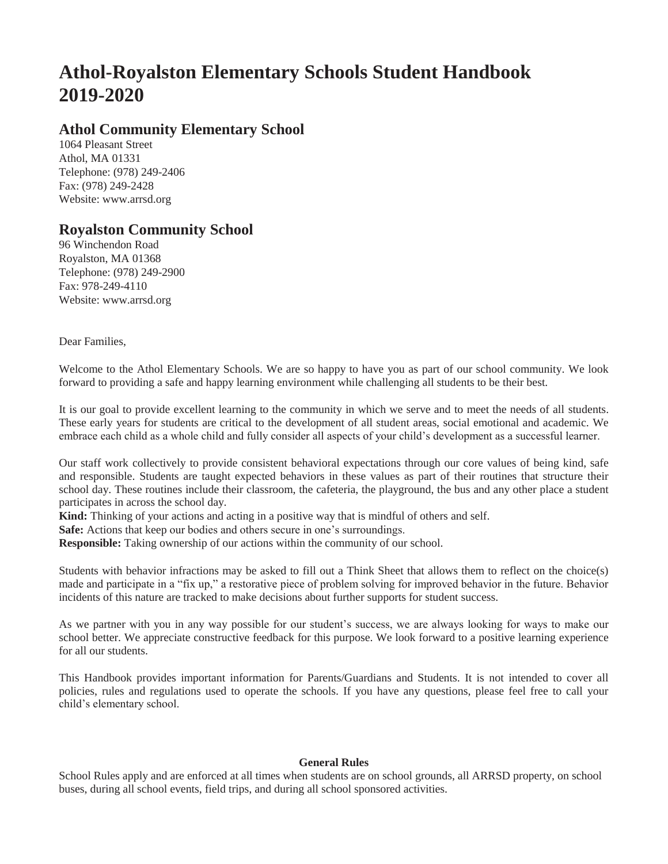# **Athol-Royalston Elementary Schools Student Handbook 2019-2020**

# **Athol Community Elementary School**

1064 Pleasant Street Athol, MA 01331 Telephone: (978) 249-2406 Fax: (978) 249-2428 [Website: www.arrsd.org](http://www.arrsd.org/)

# **Royalston Community School**

96 Winchendon Road Royalston, MA 01368 Telephone: (978) 249-2900 Fax: 978-249-4110 [Website: www.arrsd.org](http://www.arrsd.org/)

Dear Families,

Welcome to the Athol Elementary Schools. We are so happy to have you as part of our school community. We look forward to providing a safe and happy learning environment while challenging all students to be their best.

It is our goal to provide excellent learning to the community in which we serve and to meet the needs of all students. These early years for students are critical to the development of all student areas, social emotional and academic. We embrace each child as a whole child and fully consider all aspects of your child's development as a successful learner.

Our staff work collectively to provide consistent behavioral expectations through our core values of being kind, safe and responsible. Students are taught expected behaviors in these values as part of their routines that structure their school day. These routines include their classroom, the cafeteria, the playground, the bus and any other place a student participates in across the school day.

**Kind:** Thinking of your actions and acting in a positive way that is mindful of others and self.

**Safe:** Actions that keep our bodies and others secure in one's surroundings.

**Responsible:** Taking ownership of our actions within the community of our school.

Students with behavior infractions may be asked to fill out a Think Sheet that allows them to reflect on the choice(s) made and participate in a "fix up," a restorative piece of problem solving for improved behavior in the future. Behavior incidents of this nature are tracked to make decisions about further supports for student success.

As we partner with you in any way possible for our student's success, we are always looking for ways to make our school better. We appreciate constructive feedback for this purpose. We look forward to a positive learning experience for all our students.

This Handbook provides important information for Parents/Guardians and Students. It is not intended to cover all policies, rules and regulations used to operate the schools. If you have any questions, please feel free to call your child's elementary school.

# **General Rules**

School Rules apply and are enforced at all times when students are on school grounds, all ARRSD property, on school buses, during all school events, field trips, and during all school sponsored activities.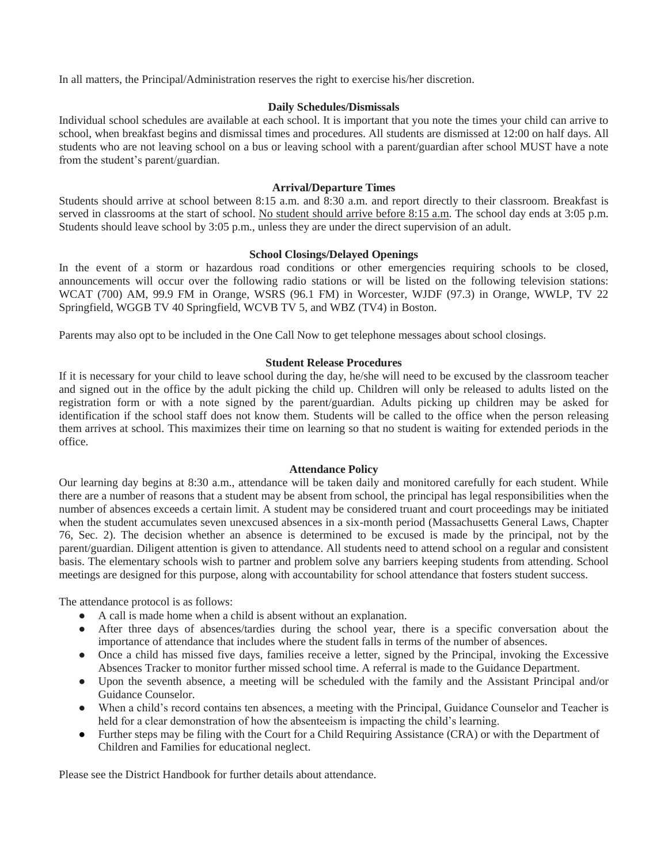In all matters, the Principal/Administration reserves the right to exercise his/her discretion.

#### **Daily Schedules/Dismissals**

Individual school schedules are available at each school. It is important that you note the times your child can arrive to school, when breakfast begins and dismissal times and procedures. All students are dismissed at 12:00 on half days. All students who are not leaving school on a bus or leaving school with a parent/guardian after school MUST have a note from the student's parent/guardian.

#### **Arrival/Departure Times**

Students should arrive at school between 8:15 a.m. and 8:30 a.m. and report directly to their classroom. Breakfast is served in classrooms at the start of school. No student should arrive before 8:15 a.m. The school day ends at 3:05 p.m. Students should leave school by 3:05 p.m., unless they are under the direct supervision of an adult.

#### **School Closings/Delayed Openings**

In the event of a storm or hazardous road conditions or other emergencies requiring schools to be closed, announcements will occur over the following radio stations or will be listed on the following television stations: WCAT (700) AM, 99.9 FM in Orange, WSRS (96.1 FM) in Worcester, WJDF (97.3) in Orange, WWLP, TV 22 Springfield, WGGB TV 40 Springfield, WCVB TV 5, and WBZ (TV4) in Boston.

Parents may also opt to be included in the One Call Now to get telephone messages about school closings.

#### **Student Release Procedures**

If it is necessary for your child to leave school during the day, he/she will need to be excused by the classroom teacher and signed out in the office by the adult picking the child up. Children will only be released to adults listed on the registration form or with a note signed by the parent/guardian. Adults picking up children may be asked for identification if the school staff does not know them. Students will be called to the office when the person releasing them arrives at school. This maximizes their time on learning so that no student is waiting for extended periods in the office.

#### **Attendance Policy**

Our learning day begins at 8:30 a.m., attendance will be taken daily and monitored carefully for each student. While there are a number of reasons that a student may be absent from school, the principal has legal responsibilities when the number of absences exceeds a certain limit. A student may be considered truant and court proceedings may be initiated when the student accumulates seven unexcused absences in a six-month period (Massachusetts General Laws, Chapter 76, Sec. 2). The decision whether an absence is determined to be excused is made by the principal, not by the parent/guardian. Diligent attention is given to attendance. All students need to attend school on a regular and consistent basis. The elementary schools wish to partner and problem solve any barriers keeping students from attending. School meetings are designed for this purpose, along with accountability for school attendance that fosters student success.

The attendance protocol is as follows:

- A call is made home when a child is absent without an explanation.
- After three days of absences/tardies during the school year, there is a specific conversation about the importance of attendance that includes where the student falls in terms of the number of absences.
- Once a child has missed five days, families receive a letter, signed by the Principal, invoking the Excessive Absences Tracker to monitor further missed school time. A referral is made to the Guidance Department.
- Upon the seventh absence, a meeting will be scheduled with the family and the Assistant Principal and/or Guidance Counselor.
- When a child's record contains ten absences, a meeting with the Principal, Guidance Counselor and Teacher is held for a clear demonstration of how the absenteeism is impacting the child's learning.
- Further steps may be filing with the Court for a Child Requiring Assistance (CRA) or with the Department of Children and Families for educational neglect.

Please see the District Handbook for further details about attendance.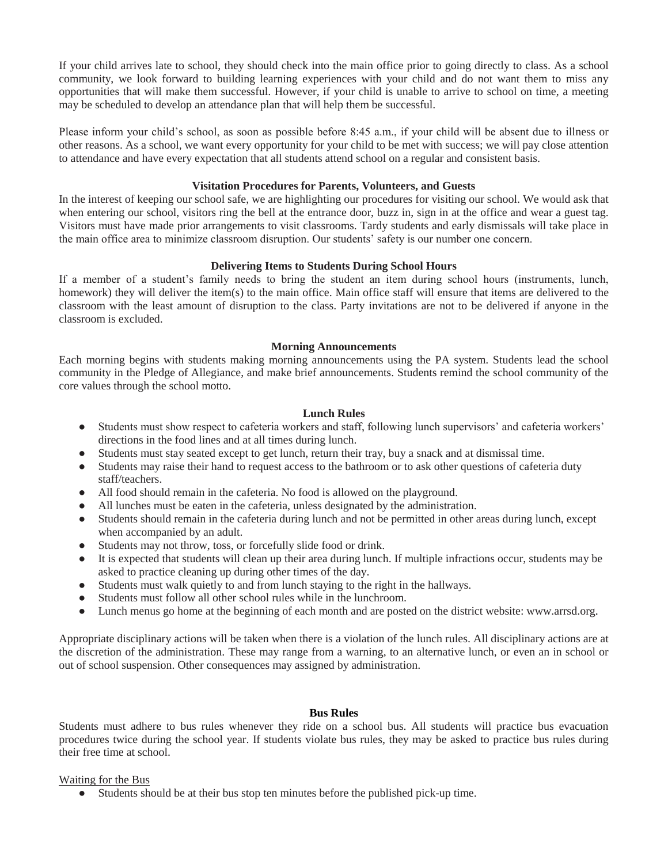If your child arrives late to school, they should check into the main office prior to going directly to class. As a school community, we look forward to building learning experiences with your child and do not want them to miss any opportunities that will make them successful. However, if your child is unable to arrive to school on time, a meeting may be scheduled to develop an attendance plan that will help them be successful.

Please inform your child's school, as soon as possible before 8:45 a.m., if your child will be absent due to illness or other reasons. As a school, we want every opportunity for your child to be met with success; we will pay close attention to attendance and have every expectation that all students attend school on a regular and consistent basis.

# **Visitation Procedures for Parents, Volunteers, and Guests**

In the interest of keeping our school safe, we are highlighting our procedures for visiting our school. We would ask that when entering our school, visitors ring the bell at the entrance door, buzz in, sign in at the office and wear a guest tag. Visitors must have made prior arrangements to visit classrooms. Tardy students and early dismissals will take place in the main office area to minimize classroom disruption. Our students' safety is our number one concern.

# **Delivering Items to Students During School Hours**

If a member of a student's family needs to bring the student an item during school hours (instruments, lunch, homework) they will deliver the item(s) to the main office. Main office staff will ensure that items are delivered to the classroom with the least amount of disruption to the class. Party invitations are not to be delivered if anyone in the classroom is excluded.

#### **Morning Announcements**

Each morning begins with students making morning announcements using the PA system. Students lead the school community in the Pledge of Allegiance, and make brief announcements. Students remind the school community of the core values through the school motto.

# **Lunch Rules**

- Students must show respect to cafeteria workers and staff, following lunch supervisors' and cafeteria workers' directions in the food lines and at all times during lunch.
- Students must stay seated except to get lunch, return their tray, buy a snack and at dismissal time.
- Students may raise their hand to request access to the bathroom or to ask other questions of cafeteria duty staff/teachers.
- All food should remain in the cafeteria. No food is allowed on the playground.
- All lunches must be eaten in the cafeteria, unless designated by the administration.
- Students should remain in the cafeteria during lunch and not be permitted in other areas during lunch, except when accompanied by an adult.
- Students may not throw, toss, or forcefully slide food or drink.
- It is expected that students will clean up their area during lunch. If multiple infractions occur, students may be asked to practice cleaning up during other times of the day.
- Students must walk quietly to and from lunch staying to the right in the hallways.
- Students must follow all other school rules while in the lunchroom.
- [Lunch menus go home at the beginning of each month and are posted on the district website: www.arrsd.org.](http://www.arrsd.org/)

Appropriate disciplinary actions will be taken when there is a violation of the lunch rules. All disciplinary actions are at the discretion of the administration. These may range from a warning, to an alternative lunch, or even an in school or out of school suspension. Other consequences may assigned by administration.

#### **Bus Rules**

Students must adhere to bus rules whenever they ride on a school bus. All students will practice bus evacuation procedures twice during the school year. If students violate bus rules, they may be asked to practice bus rules during their free time at school.

#### Waiting for the Bus

● Students should be at their bus stop ten minutes before the published pick-up time.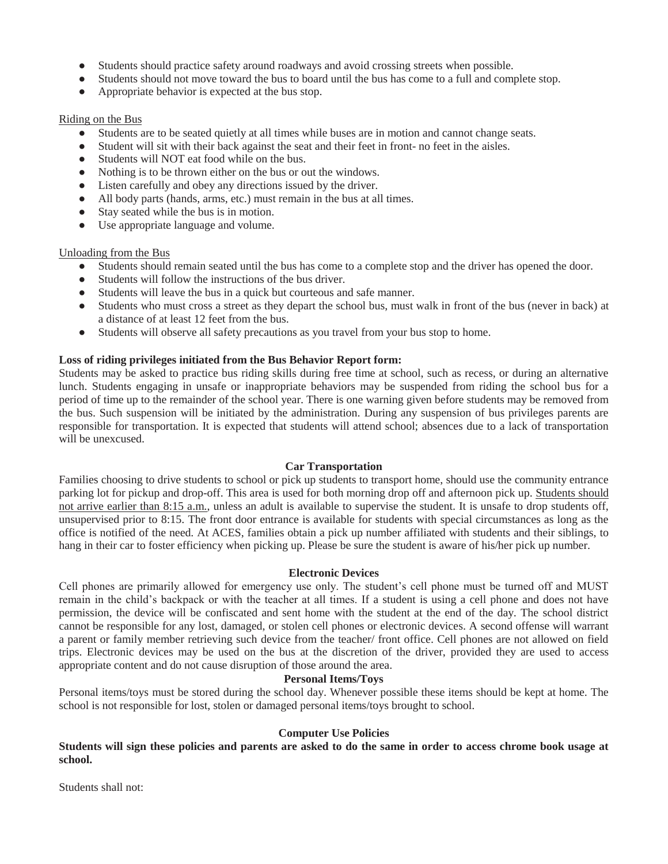- Students should practice safety around roadways and avoid crossing streets when possible.
- Students should not move toward the bus to board until the bus has come to a full and complete stop.
- Appropriate behavior is expected at the bus stop.

### Riding on the Bus

- Students are to be seated quietly at all times while buses are in motion and cannot change seats.
- Student will sit with their back against the seat and their feet in front- no feet in the aisles.
- Students will NOT eat food while on the bus.
- Nothing is to be thrown either on the bus or out the windows.
- Listen carefully and obey any directions issued by the driver.
- All body parts (hands, arms, etc.) must remain in the bus at all times.
- Stay seated while the bus is in motion.
- Use appropriate language and volume.

# Unloading from the Bus

- Students should remain seated until the bus has come to a complete stop and the driver has opened the door.
- Students will follow the instructions of the bus driver.
- Students will leave the bus in a quick but courteous and safe manner.
- Students who must cross a street as they depart the school bus, must walk in front of the bus (never in back) at a distance of at least 12 feet from the bus.
- Students will observe all safety precautions as you travel from your bus stop to home.

# **Loss of riding privileges initiated from the Bus Behavior Report form:**

Students may be asked to practice bus riding skills during free time at school, such as recess, or during an alternative lunch. Students engaging in unsafe or inappropriate behaviors may be suspended from riding the school bus for a period of time up to the remainder of the school year. There is one warning given before students may be removed from the bus. Such suspension will be initiated by the administration. During any suspension of bus privileges parents are responsible for transportation. It is expected that students will attend school; absences due to a lack of transportation will be unexcused.

#### **Car Transportation**

Families choosing to drive students to school or pick up students to transport home, should use the community entrance parking lot for pickup and drop-off. This area is used for both morning drop off and afternoon pick up. Students should not arrive earlier than 8:15 a.m., unless an adult is available to supervise the student. It is unsafe to drop students off, unsupervised prior to 8:15. The front door entrance is available for students with special circumstances as long as the office is notified of the need. At ACES, families obtain a pick up number affiliated with students and their siblings, to hang in their car to foster efficiency when picking up. Please be sure the student is aware of his/her pick up number.

#### **Electronic Devices**

Cell phones are primarily allowed for emergency use only. The student's cell phone must be turned off and MUST remain in the child's backpack or with the teacher at all times. If a student is using a cell phone and does not have permission, the device will be confiscated and sent home with the student at the end of the day. The school district cannot be responsible for any lost, damaged, or stolen cell phones or electronic devices. A second offense will warrant a parent or family member retrieving such device from the teacher/ front office. Cell phones are not allowed on field trips. Electronic devices may be used on the bus at the discretion of the driver, provided they are used to access appropriate content and do not cause disruption of those around the area.

#### **Personal Items/Toys**

Personal items/toys must be stored during the school day. Whenever possible these items should be kept at home. The school is not responsible for lost, stolen or damaged personal items/toys brought to school.

#### **Computer Use Policies**

**Students will sign these policies and parents are asked to do the same in order to access chrome book usage at school.**

Students shall not: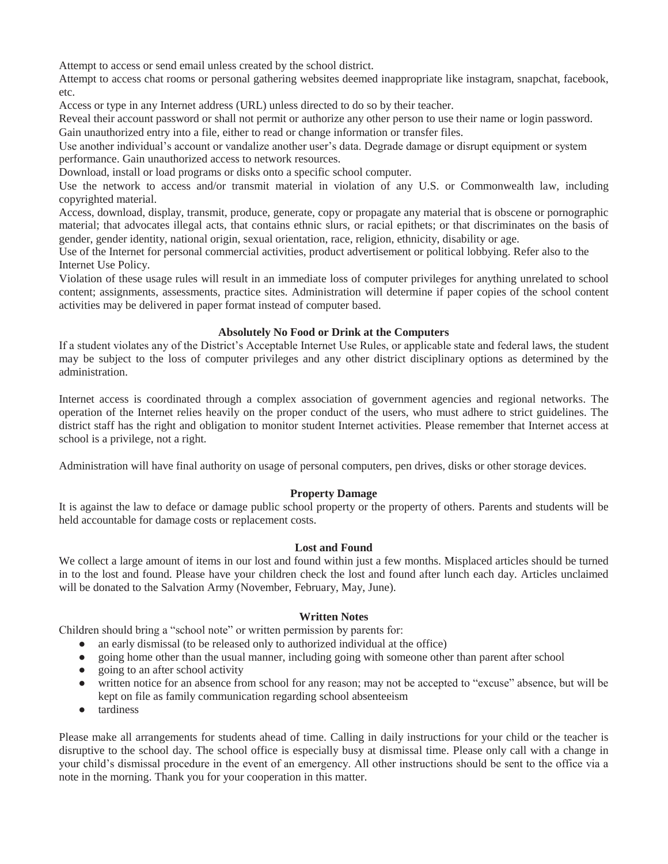Attempt to access or send email unless created by the school district.

Attempt to access chat rooms or personal gathering websites deemed inappropriate like instagram, snapchat, facebook, etc.

Access or type in any Internet address (URL) unless directed to do so by their teacher.

Reveal their account password or shall not permit or authorize any other person to use their name or login password. Gain unauthorized entry into a file, either to read or change information or transfer files.

Use another individual's account or vandalize another user's data. Degrade damage or disrupt equipment or system performance. Gain unauthorized access to network resources.

Download, install or load programs or disks onto a specific school computer.

Use the network to access and/or transmit material in violation of any U.S. or Commonwealth law, including copyrighted material.

Access, download, display, transmit, produce, generate, copy or propagate any material that is obscene or pornographic material; that advocates illegal acts, that contains ethnic slurs, or racial epithets; or that discriminates on the basis of gender, gender identity, national origin, sexual orientation, race, religion, ethnicity, disability or age.

Use of the Internet for personal commercial activities, product advertisement or political lobbying. Refer also to the Internet Use Policy.

Violation of these usage rules will result in an immediate loss of computer privileges for anything unrelated to school content; assignments, assessments, practice sites. Administration will determine if paper copies of the school content activities may be delivered in paper format instead of computer based.

# **Absolutely No Food or Drink at the Computers**

If a student violates any of the District's Acceptable Internet Use Rules, or applicable state and federal laws, the student may be subject to the loss of computer privileges and any other district disciplinary options as determined by the administration.

Internet access is coordinated through a complex association of government agencies and regional networks. The operation of the Internet relies heavily on the proper conduct of the users, who must adhere to strict guidelines. The district staff has the right and obligation to monitor student Internet activities. Please remember that Internet access at school is a privilege, not a right.

Administration will have final authority on usage of personal computers, pen drives, disks or other storage devices.

# **Property Damage**

It is against the law to deface or damage public school property or the property of others. Parents and students will be held accountable for damage costs or replacement costs.

#### **Lost and Found**

We collect a large amount of items in our lost and found within just a few months. Misplaced articles should be turned in to the lost and found. Please have your children check the lost and found after lunch each day. Articles unclaimed will be donated to the Salvation Army (November, February, May, June).

#### **Written Notes**

Children should bring a "school note" or written permission by parents for:

- an early dismissal (to be released only to authorized individual at the office)
- going home other than the usual manner, including going with someone other than parent after school
- going to an after school activity
- written notice for an absence from school for any reason; may not be accepted to "excuse" absence, but will be kept on file as family communication regarding school absenteeism
- tardiness

Please make all arrangements for students ahead of time. Calling in daily instructions for your child or the teacher is disruptive to the school day. The school office is especially busy at dismissal time. Please only call with a change in your child's dismissal procedure in the event of an emergency. All other instructions should be sent to the office via a note in the morning. Thank you for your cooperation in this matter.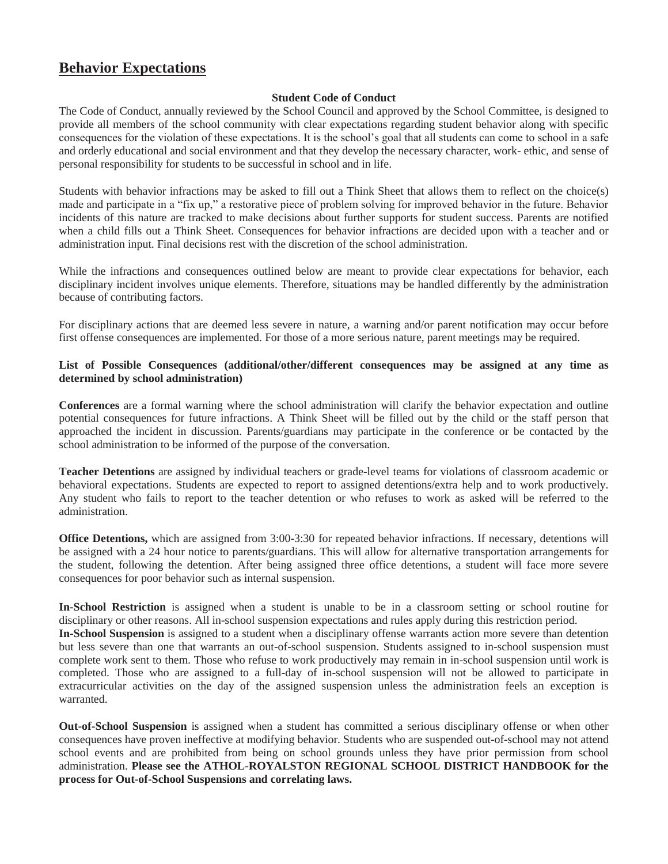# **Behavior Expectations**

# **Student Code of Conduct**

The Code of Conduct, annually reviewed by the School Council and approved by the School Committee, is designed to provide all members of the school community with clear expectations regarding student behavior along with specific consequences for the violation of these expectations. It is the school's goal that all students can come to school in a safe and orderly educational and social environment and that they develop the necessary character, work- ethic, and sense of personal responsibility for students to be successful in school and in life.

Students with behavior infractions may be asked to fill out a Think Sheet that allows them to reflect on the choice(s) made and participate in a "fix up," a restorative piece of problem solving for improved behavior in the future. Behavior incidents of this nature are tracked to make decisions about further supports for student success. Parents are notified when a child fills out a Think Sheet. Consequences for behavior infractions are decided upon with a teacher and or administration input. Final decisions rest with the discretion of the school administration.

While the infractions and consequences outlined below are meant to provide clear expectations for behavior, each disciplinary incident involves unique elements. Therefore, situations may be handled differently by the administration because of contributing factors.

For disciplinary actions that are deemed less severe in nature, a warning and/or parent notification may occur before first offense consequences are implemented. For those of a more serious nature, parent meetings may be required.

### **List of Possible Consequences (additional/other/different consequences may be assigned at any time as determined by school administration)**

**Conferences** are a formal warning where the school administration will clarify the behavior expectation and outline potential consequences for future infractions. A Think Sheet will be filled out by the child or the staff person that approached the incident in discussion. Parents/guardians may participate in the conference or be contacted by the school administration to be informed of the purpose of the conversation.

**Teacher Detentions** are assigned by individual teachers or grade-level teams for violations of classroom academic or behavioral expectations. Students are expected to report to assigned detentions/extra help and to work productively. Any student who fails to report to the teacher detention or who refuses to work as asked will be referred to the administration.

**Office Detentions,** which are assigned from 3:00-3:30 for repeated behavior infractions. If necessary, detentions will be assigned with a 24 hour notice to parents/guardians. This will allow for alternative transportation arrangements for the student, following the detention. After being assigned three office detentions, a student will face more severe consequences for poor behavior such as internal suspension.

**In-School Restriction** is assigned when a student is unable to be in a classroom setting or school routine for disciplinary or other reasons. All in-school suspension expectations and rules apply during this restriction period. **In-School Suspension** is assigned to a student when a disciplinary offense warrants action more severe than detention but less severe than one that warrants an out-of-school suspension. Students assigned to in-school suspension must complete work sent to them. Those who refuse to work productively may remain in in-school suspension until work is completed. Those who are assigned to a full-day of in-school suspension will not be allowed to participate in extracurricular activities on the day of the assigned suspension unless the administration feels an exception is warranted.

**Out-of-School Suspension** is assigned when a student has committed a serious disciplinary offense or when other consequences have proven ineffective at modifying behavior. Students who are suspended out-of-school may not attend school events and are prohibited from being on school grounds unless they have prior permission from school administration. **Please see the ATHOL-ROYALSTON REGIONAL SCHOOL DISTRICT HANDBOOK for the process for Out-of-School Suspensions and correlating laws.**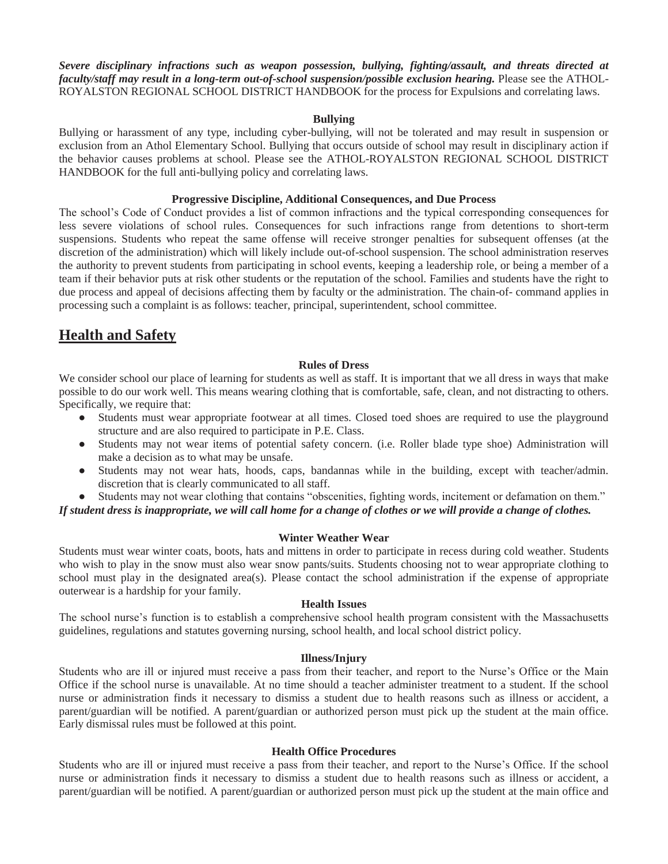*Severe disciplinary infractions such as weapon possession, bullying, fighting/assault, and threats directed at faculty/staff may result in a long-term out-of-school suspension/possible exclusion hearing.* Please see the ATHOL-ROYALSTON REGIONAL SCHOOL DISTRICT HANDBOOK for the process for Expulsions and correlating laws.

#### **Bullying**

Bullying or harassment of any type, including cyber-bullying, will not be tolerated and may result in suspension or exclusion from an Athol Elementary School. Bullying that occurs outside of school may result in disciplinary action if the behavior causes problems at school. Please see the ATHOL-ROYALSTON REGIONAL SCHOOL DISTRICT HANDBOOK for the full anti-bullying policy and correlating laws.

#### **Progressive Discipline, Additional Consequences, and Due Process**

The school's Code of Conduct provides a list of common infractions and the typical corresponding consequences for less severe violations of school rules. Consequences for such infractions range from detentions to short-term suspensions. Students who repeat the same offense will receive stronger penalties for subsequent offenses (at the discretion of the administration) which will likely include out-of-school suspension. The school administration reserves the authority to prevent students from participating in school events, keeping a leadership role, or being a member of a team if their behavior puts at risk other students or the reputation of the school. Families and students have the right to due process and appeal of decisions affecting them by faculty or the administration. The chain-of- command applies in processing such a complaint is as follows: teacher, principal, superintendent, school committee.

# **Health and Safety**

#### **Rules of Dress**

We consider school our place of learning for students as well as staff. It is important that we all dress in ways that make possible to do our work well. This means wearing clothing that is comfortable, safe, clean, and not distracting to others. Specifically, we require that:

- Students must wear appropriate footwear at all times. Closed toed shoes are required to use the playground structure and are also required to participate in P.E. Class.
- Students may not wear items of potential safety concern. (i.e. Roller blade type shoe) Administration will make a decision as to what may be unsafe.
- Students may not wear hats, hoods, caps, bandannas while in the building, except with teacher/admin. discretion that is clearly communicated to all staff.
- Students may not wear clothing that contains "obscenities, fighting words, incitement or defamation on them."

*If student dress is inappropriate, we will call home for a change of clothes or we will provide a change of clothes.*

#### **Winter Weather Wear**

Students must wear winter coats, boots, hats and mittens in order to participate in recess during cold weather. Students who wish to play in the snow must also wear snow pants/suits. Students choosing not to wear appropriate clothing to school must play in the designated area(s). Please contact the school administration if the expense of appropriate outerwear is a hardship for your family.

#### **Health Issues**

The school nurse's function is to establish a comprehensive school health program consistent with the Massachusetts guidelines, regulations and statutes governing nursing, school health, and local school district policy.

#### **Illness/Injury**

Students who are ill or injured must receive a pass from their teacher, and report to the Nurse's Office or the Main Office if the school nurse is unavailable. At no time should a teacher administer treatment to a student. If the school nurse or administration finds it necessary to dismiss a student due to health reasons such as illness or accident, a parent/guardian will be notified. A parent/guardian or authorized person must pick up the student at the main office. Early dismissal rules must be followed at this point.

#### **Health Office Procedures**

Students who are ill or injured must receive a pass from their teacher, and report to the Nurse's Office. If the school nurse or administration finds it necessary to dismiss a student due to health reasons such as illness or accident, a parent/guardian will be notified. A parent/guardian or authorized person must pick up the student at the main office and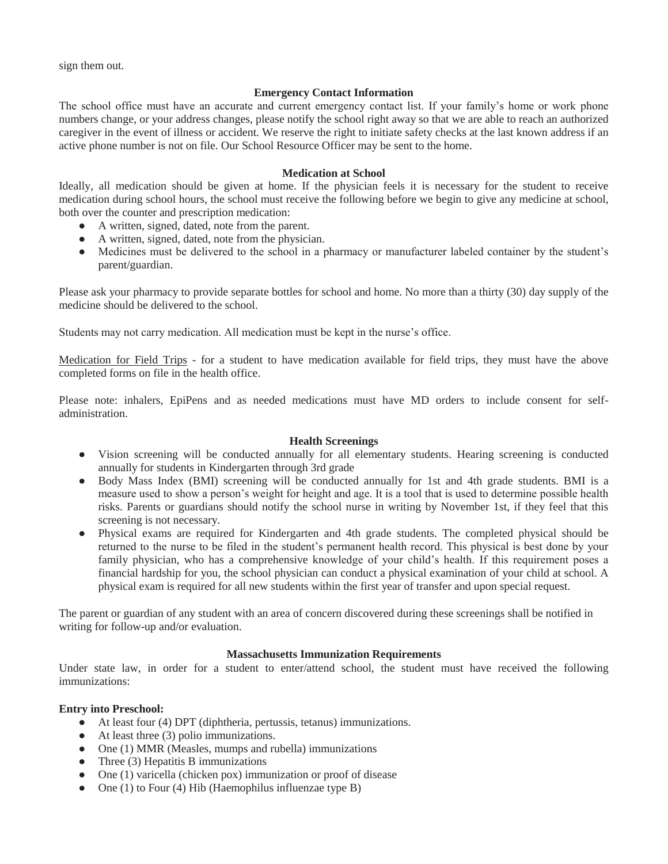sign them out.

# **Emergency Contact Information**

The school office must have an accurate and current emergency contact list. If your family's home or work phone numbers change, or your address changes, please notify the school right away so that we are able to reach an authorized caregiver in the event of illness or accident. We reserve the right to initiate safety checks at the last known address if an active phone number is not on file. Our School Resource Officer may be sent to the home.

# **Medication at School**

Ideally, all medication should be given at home. If the physician feels it is necessary for the student to receive medication during school hours, the school must receive the following before we begin to give any medicine at school, both over the counter and prescription medication:

- A written, signed, dated, note from the parent.
- A written, signed, dated, note from the physician.
- Medicines must be delivered to the school in a pharmacy or manufacturer labeled container by the student's parent/guardian.

Please ask your pharmacy to provide separate bottles for school and home. No more than a thirty (30) day supply of the medicine should be delivered to the school.

Students may not carry medication. All medication must be kept in the nurse's office.

Medication for Field Trips - for a student to have medication available for field trips, they must have the above completed forms on file in the health office.

Please note: inhalers, EpiPens and as needed medications must have MD orders to include consent for selfadministration.

# **Health Screenings**

- Vision screening will be conducted annually for all elementary students. Hearing screening is conducted annually for students in Kindergarten through 3rd grade
- Body Mass Index (BMI) screening will be conducted annually for 1st and 4th grade students. BMI is a measure used to show a person's weight for height and age. It is a tool that is used to determine possible health risks. Parents or guardians should notify the school nurse in writing by November 1st, if they feel that this screening is not necessary.
- Physical exams are required for Kindergarten and 4th grade students. The completed physical should be returned to the nurse to be filed in the student's permanent health record. This physical is best done by your family physician, who has a comprehensive knowledge of your child's health. If this requirement poses a financial hardship for you, the school physician can conduct a physical examination of your child at school. A physical exam is required for all new students within the first year of transfer and upon special request.

The parent or guardian of any student with an area of concern discovered during these screenings shall be notified in writing for follow-up and/or evaluation.

# **Massachusetts Immunization Requirements**

Under state law, in order for a student to enter/attend school, the student must have received the following immunizations:

# **Entry into Preschool:**

- At least four (4) DPT (diphtheria, pertussis, tetanus) immunizations.
- At least three (3) polio immunizations.
- One (1) MMR (Measles, mumps and rubella) immunizations
- Three (3) Hepatitis B immunizations
- One (1) varicella (chicken pox) immunization or proof of disease
- One (1) to Four (4) Hib (Haemophilus influenzae type B)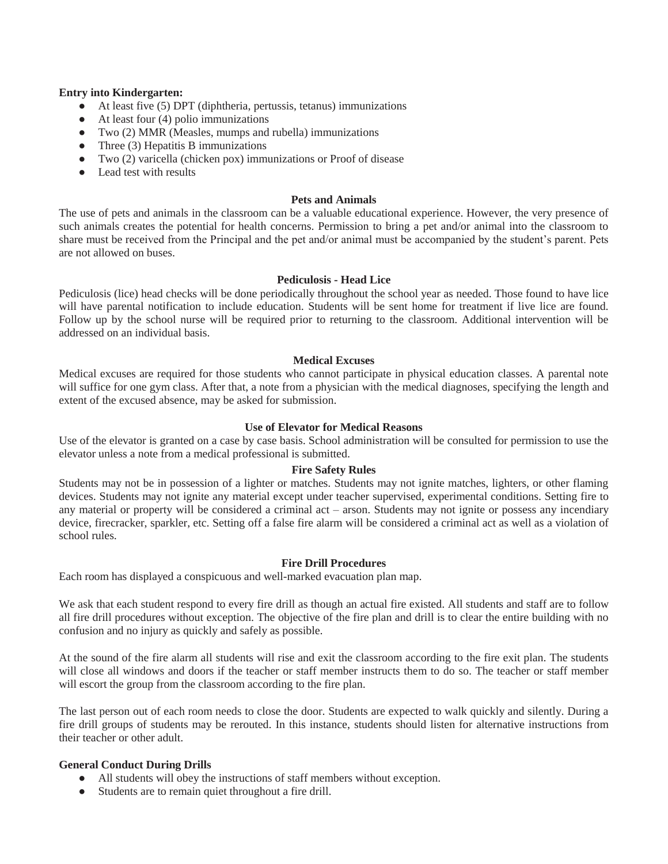#### **Entry into Kindergarten:**

- At least five (5) DPT (diphtheria, pertussis, tetanus) immunizations
- At least four (4) polio immunizations
- Two (2) MMR (Measles, mumps and rubella) immunizations
- Three (3) Hepatitis B immunizations
- Two (2) varicella (chicken pox) immunizations or Proof of disease
- Lead test with results

#### **Pets and Animals**

The use of pets and animals in the classroom can be a valuable educational experience. However, the very presence of such animals creates the potential for health concerns. Permission to bring a pet and/or animal into the classroom to share must be received from the Principal and the pet and/or animal must be accompanied by the student's parent. Pets are not allowed on buses.

#### **Pediculosis - Head Lice**

Pediculosis (lice) head checks will be done periodically throughout the school year as needed. Those found to have lice will have parental notification to include education. Students will be sent home for treatment if live lice are found. Follow up by the school nurse will be required prior to returning to the classroom. Additional intervention will be addressed on an individual basis.

#### **Medical Excuses**

Medical excuses are required for those students who cannot participate in physical education classes. A parental note will suffice for one gym class. After that, a note from a physician with the medical diagnoses, specifying the length and extent of the excused absence, may be asked for submission.

# **Use of Elevator for Medical Reasons**

Use of the elevator is granted on a case by case basis. School administration will be consulted for permission to use the elevator unless a note from a medical professional is submitted.

#### **Fire Safety Rules**

Students may not be in possession of a lighter or matches. Students may not ignite matches, lighters, or other flaming devices. Students may not ignite any material except under teacher supervised, experimental conditions. Setting fire to any material or property will be considered a criminal act – arson. Students may not ignite or possess any incendiary device, firecracker, sparkler, etc. Setting off a false fire alarm will be considered a criminal act as well as a violation of school rules.

#### **Fire Drill Procedures**

Each room has displayed a conspicuous and well-marked evacuation plan map.

We ask that each student respond to every fire drill as though an actual fire existed. All students and staff are to follow all fire drill procedures without exception. The objective of the fire plan and drill is to clear the entire building with no confusion and no injury as quickly and safely as possible.

At the sound of the fire alarm all students will rise and exit the classroom according to the fire exit plan. The students will close all windows and doors if the teacher or staff member instructs them to do so. The teacher or staff member will escort the group from the classroom according to the fire plan.

The last person out of each room needs to close the door. Students are expected to walk quickly and silently. During a fire drill groups of students may be rerouted. In this instance, students should listen for alternative instructions from their teacher or other adult.

#### **General Conduct During Drills**

- All students will obey the instructions of staff members without exception.
- Students are to remain quiet throughout a fire drill.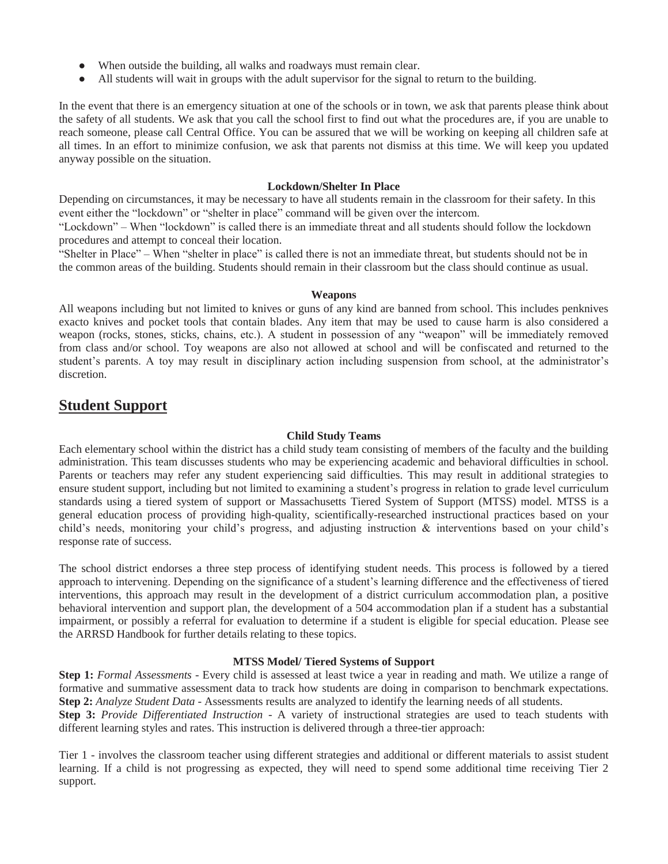- When outside the building, all walks and roadways must remain clear.
- All students will wait in groups with the adult supervisor for the signal to return to the building.

In the event that there is an emergency situation at one of the schools or in town, we ask that parents please think about the safety of all students. We ask that you call the school first to find out what the procedures are, if you are unable to reach someone, please call Central Office. You can be assured that we will be working on keeping all children safe at all times. In an effort to minimize confusion, we ask that parents not dismiss at this time. We will keep you updated anyway possible on the situation.

# **Lockdown/Shelter In Place**

Depending on circumstances, it may be necessary to have all students remain in the classroom for their safety. In this event either the "lockdown" or "shelter in place" command will be given over the intercom.

"Lockdown" – When "lockdown" is called there is an immediate threat and all students should follow the lockdown procedures and attempt to conceal their location.

"Shelter in Place" – When "shelter in place" is called there is not an immediate threat, but students should not be in the common areas of the building. Students should remain in their classroom but the class should continue as usual.

# **Weapons**

All weapons including but not limited to knives or guns of any kind are banned from school. This includes penknives exacto knives and pocket tools that contain blades. Any item that may be used to cause harm is also considered a weapon (rocks, stones, sticks, chains, etc.). A student in possession of any "weapon" will be immediately removed from class and/or school. Toy weapons are also not allowed at school and will be confiscated and returned to the student's parents. A toy may result in disciplinary action including suspension from school, at the administrator's discretion.

# **Student Support**

#### **Child Study Teams**

Each elementary school within the district has a child study team consisting of members of the faculty and the building administration. This team discusses students who may be experiencing academic and behavioral difficulties in school. Parents or teachers may refer any student experiencing said difficulties. This may result in additional strategies to ensure student support, including but not limited to examining a student's progress in relation to grade level curriculum standards using a tiered system of support or Massachusetts Tiered System of Support (MTSS) model. MTSS is a general education process of providing high-quality, scientifically-researched instructional practices based on your child's needs, monitoring your child's progress, and adjusting instruction & interventions based on your child's response rate of success.

The school district endorses a three step process of identifying student needs. This process is followed by a tiered approach to intervening. Depending on the significance of a student's learning difference and the effectiveness of tiered interventions, this approach may result in the development of a district curriculum accommodation plan, a positive behavioral intervention and support plan, the development of a 504 accommodation plan if a student has a substantial impairment, or possibly a referral for evaluation to determine if a student is eligible for special education. Please see the ARRSD Handbook for further details relating to these topics.

#### **MTSS Model/ Tiered Systems of Support**

**Step 1:** *Formal Assessments* - Every child is assessed at least twice a year in reading and math. We utilize a range of formative and summative assessment data to track how students are doing in comparison to benchmark expectations. **Step 2:** *Analyze Student Data* - Assessments results are analyzed to identify the learning needs of all students.

**Step 3:** *Provide Differentiated Instruction* - A variety of instructional strategies are used to teach students with different learning styles and rates. This instruction is delivered through a three-tier approach:

Tier 1 - involves the classroom teacher using different strategies and additional or different materials to assist student learning. If a child is not progressing as expected, they will need to spend some additional time receiving Tier 2 support.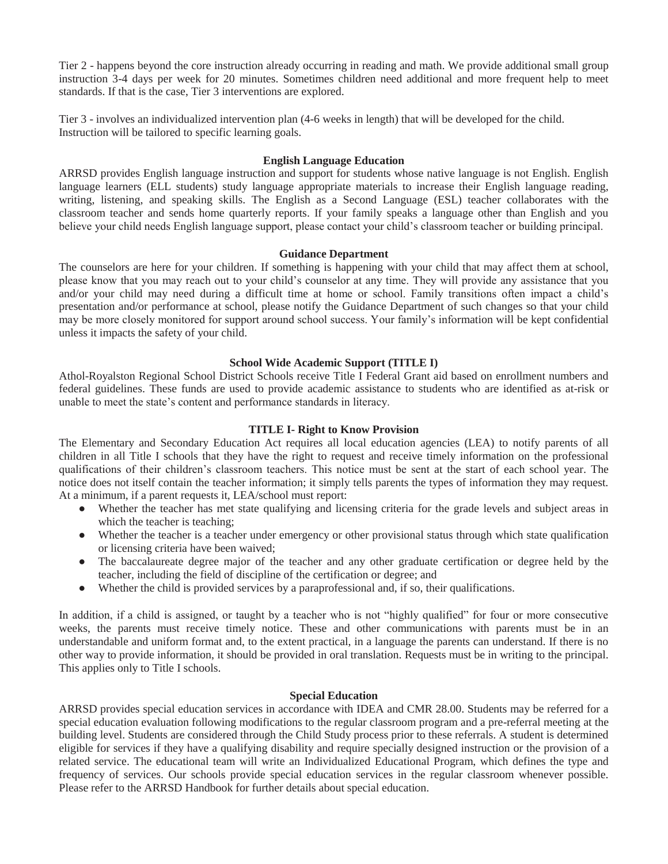Tier 2 - happens beyond the core instruction already occurring in reading and math. We provide additional small group instruction 3-4 days per week for 20 minutes. Sometimes children need additional and more frequent help to meet standards. If that is the case, Tier 3 interventions are explored.

Tier 3 - involves an individualized intervention plan (4-6 weeks in length) that will be developed for the child. Instruction will be tailored to specific learning goals.

#### **English Language Education**

ARRSD provides English language instruction and support for students whose native language is not English. English language learners (ELL students) study language appropriate materials to increase their English language reading, writing, listening, and speaking skills. The English as a Second Language (ESL) teacher collaborates with the classroom teacher and sends home quarterly reports. If your family speaks a language other than English and you believe your child needs English language support, please contact your child's classroom teacher or building principal.

#### **Guidance Department**

The counselors are here for your children. If something is happening with your child that may affect them at school, please know that you may reach out to your child's counselor at any time. They will provide any assistance that you and/or your child may need during a difficult time at home or school. Family transitions often impact a child's presentation and/or performance at school, please notify the Guidance Department of such changes so that your child may be more closely monitored for support around school success. Your family's information will be kept confidential unless it impacts the safety of your child.

#### **School Wide Academic Support (TITLE I)**

Athol-Royalston Regional School District Schools receive Title I Federal Grant aid based on enrollment numbers and federal guidelines. These funds are used to provide academic assistance to students who are identified as at-risk or unable to meet the state's content and performance standards in literacy.

#### **TITLE I- Right to Know Provision**

The Elementary and Secondary Education Act requires all local education agencies (LEA) to notify parents of all children in all Title I schools that they have the right to request and receive timely information on the professional qualifications of their children's classroom teachers. This notice must be sent at the start of each school year. The notice does not itself contain the teacher information; it simply tells parents the types of information they may request. At a minimum, if a parent requests it, LEA/school must report:

- Whether the teacher has met state qualifying and licensing criteria for the grade levels and subject areas in which the teacher is teaching;
- Whether the teacher is a teacher under emergency or other provisional status through which state qualification or licensing criteria have been waived;
- The baccalaureate degree major of the teacher and any other graduate certification or degree held by the teacher, including the field of discipline of the certification or degree; and
- Whether the child is provided services by a paraprofessional and, if so, their qualifications.

In addition, if a child is assigned, or taught by a teacher who is not "highly qualified" for four or more consecutive weeks, the parents must receive timely notice. These and other communications with parents must be in an understandable and uniform format and, to the extent practical, in a language the parents can understand. If there is no other way to provide information, it should be provided in oral translation. Requests must be in writing to the principal. This applies only to Title I schools.

#### **Special Education**

ARRSD provides special education services in accordance with IDEA and CMR 28.00. Students may be referred for a special education evaluation following modifications to the regular classroom program and a pre-referral meeting at the building level. Students are considered through the Child Study process prior to these referrals. A student is determined eligible for services if they have a qualifying disability and require specially designed instruction or the provision of a related service. The educational team will write an Individualized Educational Program, which defines the type and frequency of services. Our schools provide special education services in the regular classroom whenever possible. Please refer to the ARRSD Handbook for further details about special education.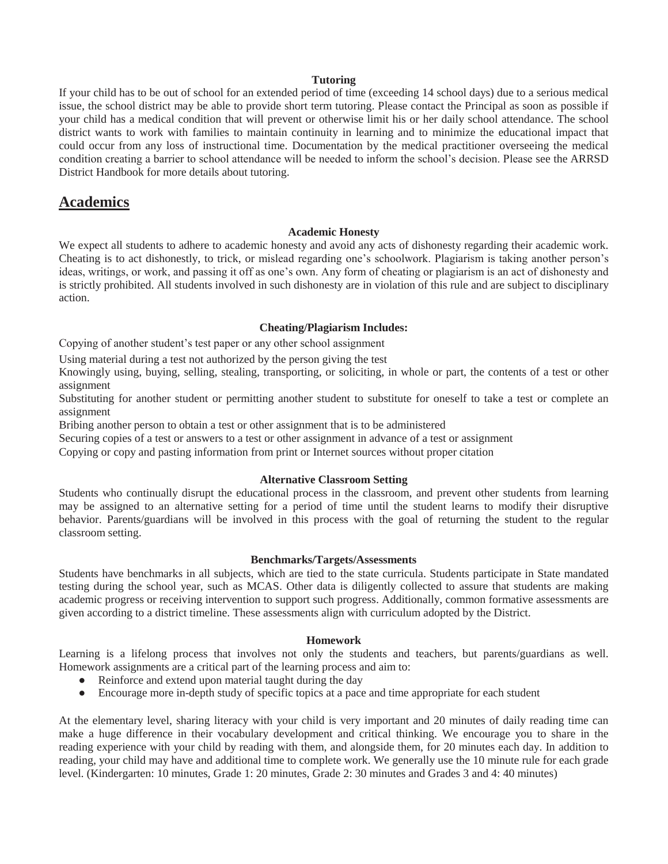#### **Tutoring**

If your child has to be out of school for an extended period of time (exceeding 14 school days) due to a serious medical issue, the school district may be able to provide short term tutoring. Please contact the Principal as soon as possible if your child has a medical condition that will prevent or otherwise limit his or her daily school attendance. The school district wants to work with families to maintain continuity in learning and to minimize the educational impact that could occur from any loss of instructional time. Documentation by the medical practitioner overseeing the medical condition creating a barrier to school attendance will be needed to inform the school's decision. Please see the ARRSD District Handbook for more details about tutoring.

# **Academics**

#### **Academic Honesty**

We expect all students to adhere to academic honesty and avoid any acts of dishonesty regarding their academic work. Cheating is to act dishonestly, to trick, or mislead regarding one's schoolwork. Plagiarism is taking another person's ideas, writings, or work, and passing it off as one's own. Any form of cheating or plagiarism is an act of dishonesty and is strictly prohibited. All students involved in such dishonesty are in violation of this rule and are subject to disciplinary action.

#### **Cheating/Plagiarism Includes:**

Copying of another student's test paper or any other school assignment

Using material during a test not authorized by the person giving the test

Knowingly using, buying, selling, stealing, transporting, or soliciting, in whole or part, the contents of a test or other assignment

Substituting for another student or permitting another student to substitute for oneself to take a test or complete an assignment

Bribing another person to obtain a test or other assignment that is to be administered

Securing copies of a test or answers to a test or other assignment in advance of a test or assignment

Copying or copy and pasting information from print or Internet sources without proper citation

#### **Alternative Classroom Setting**

Students who continually disrupt the educational process in the classroom, and prevent other students from learning may be assigned to an alternative setting for a period of time until the student learns to modify their disruptive behavior. Parents/guardians will be involved in this process with the goal of returning the student to the regular classroom setting.

#### **Benchmarks/Targets/Assessments**

Students have benchmarks in all subjects, which are tied to the state curricula. Students participate in State mandated testing during the school year, such as MCAS. Other data is diligently collected to assure that students are making academic progress or receiving intervention to support such progress. Additionally, common formative assessments are given according to a district timeline. These assessments align with curriculum adopted by the District.

#### **Homework**

Learning is a lifelong process that involves not only the students and teachers, but parents/guardians as well. Homework assignments are a critical part of the learning process and aim to:

- Reinforce and extend upon material taught during the day
- Encourage more in-depth study of specific topics at a pace and time appropriate for each student

At the elementary level, sharing literacy with your child is very important and 20 minutes of daily reading time can make a huge difference in their vocabulary development and critical thinking. We encourage you to share in the reading experience with your child by reading with them, and alongside them, for 20 minutes each day. In addition to reading, your child may have and additional time to complete work. We generally use the 10 minute rule for each grade level. (Kindergarten: 10 minutes, Grade 1: 20 minutes, Grade 2: 30 minutes and Grades 3 and 4: 40 minutes)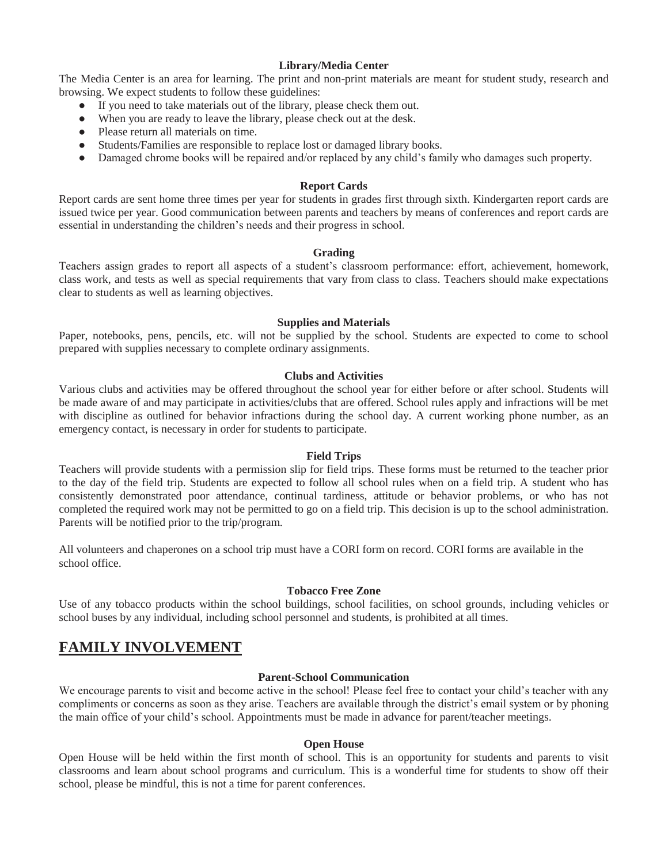# **Library/Media Center**

The Media Center is an area for learning. The print and non-print materials are meant for student study, research and browsing. We expect students to follow these guidelines:

- If you need to take materials out of the library, please check them out.
- When you are ready to leave the library, please check out at the desk.
- Please return all materials on time.
- Students/Families are responsible to replace lost or damaged library books.
- Damaged chrome books will be repaired and/or replaced by any child's family who damages such property.

### **Report Cards**

Report cards are sent home three times per year for students in grades first through sixth. Kindergarten report cards are issued twice per year. Good communication between parents and teachers by means of conferences and report cards are essential in understanding the children's needs and their progress in school.

#### **Grading**

Teachers assign grades to report all aspects of a student's classroom performance: effort, achievement, homework, class work, and tests as well as special requirements that vary from class to class. Teachers should make expectations clear to students as well as learning objectives.

#### **Supplies and Materials**

Paper, notebooks, pens, pencils, etc. will not be supplied by the school. Students are expected to come to school prepared with supplies necessary to complete ordinary assignments.

#### **Clubs and Activities**

Various clubs and activities may be offered throughout the school year for either before or after school. Students will be made aware of and may participate in activities/clubs that are offered. School rules apply and infractions will be met with discipline as outlined for behavior infractions during the school day. A current working phone number, as an emergency contact, is necessary in order for students to participate.

#### **Field Trips**

Teachers will provide students with a permission slip for field trips. These forms must be returned to the teacher prior to the day of the field trip. Students are expected to follow all school rules when on a field trip. A student who has consistently demonstrated poor attendance, continual tardiness, attitude or behavior problems, or who has not completed the required work may not be permitted to go on a field trip. This decision is up to the school administration. Parents will be notified prior to the trip/program.

All volunteers and chaperones on a school trip must have a CORI form on record. CORI forms are available in the school office.

#### **Tobacco Free Zone**

Use of any tobacco products within the school buildings, school facilities, on school grounds, including vehicles or school buses by any individual, including school personnel and students, is prohibited at all times.

# **FAMILY INVOLVEMENT**

# **Parent-School Communication**

We encourage parents to visit and become active in the school! Please feel free to contact your child's teacher with any compliments or concerns as soon as they arise. Teachers are available through the district's email system or by phoning the main office of your child's school. Appointments must be made in advance for parent/teacher meetings.

#### **Open House**

Open House will be held within the first month of school. This is an opportunity for students and parents to visit classrooms and learn about school programs and curriculum. This is a wonderful time for students to show off their school, please be mindful, this is not a time for parent conferences.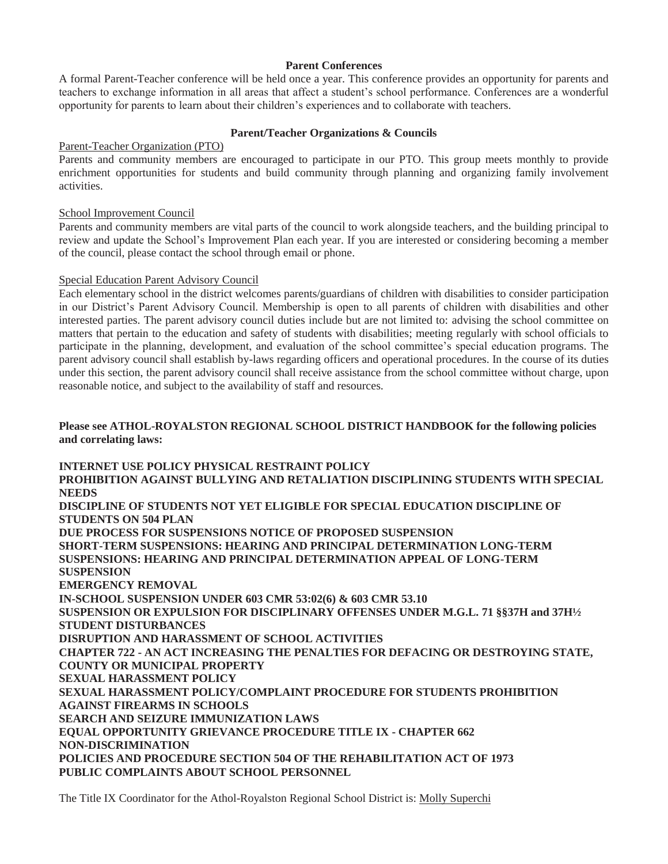# **Parent Conferences**

A formal Parent-Teacher conference will be held once a year. This conference provides an opportunity for parents and teachers to exchange information in all areas that affect a student's school performance. Conferences are a wonderful opportunity for parents to learn about their children's experiences and to collaborate with teachers.

# **Parent/Teacher Organizations & Councils**

# Parent-Teacher Organization (PTO)

Parents and community members are encouraged to participate in our PTO. This group meets monthly to provide enrichment opportunities for students and build community through planning and organizing family involvement activities.

# School Improvement Council

Parents and community members are vital parts of the council to work alongside teachers, and the building principal to review and update the School's Improvement Plan each year. If you are interested or considering becoming a member of the council, please contact the school through email or phone.

# Special Education Parent Advisory Council

Each elementary school in the district welcomes parents/guardians of children with disabilities to consider participation in our District's Parent Advisory Council. Membership is open to all parents of children with disabilities and other interested parties. The parent advisory council duties include but are not limited to: advising the school committee on matters that pertain to the education and safety of students with disabilities; meeting regularly with school officials to participate in the planning, development, and evaluation of the school committee's special education programs. The parent advisory council shall establish by-laws regarding officers and operational procedures. In the course of its duties under this section, the parent advisory council shall receive assistance from the school committee without charge, upon reasonable notice, and subject to the availability of staff and resources.

# **Please see ATHOL-ROYALSTON REGIONAL SCHOOL DISTRICT HANDBOOK for the following policies and correlating laws:**

**INTERNET USE POLICY PHYSICAL RESTRAINT POLICY PROHIBITION AGAINST BULLYING AND RETALIATION DISCIPLINING STUDENTS WITH SPECIAL NEEDS DISCIPLINE OF STUDENTS NOT YET ELIGIBLE FOR SPECIAL EDUCATION DISCIPLINE OF STUDENTS ON 504 PLAN DUE PROCESS FOR SUSPENSIONS NOTICE OF PROPOSED SUSPENSION SHORT-TERM SUSPENSIONS: HEARING AND PRINCIPAL DETERMINATION LONG-TERM SUSPENSIONS: HEARING AND PRINCIPAL DETERMINATION APPEAL OF LONG-TERM SUSPENSION EMERGENCY REMOVAL IN-SCHOOL SUSPENSION UNDER 603 CMR 53:02(6) & 603 CMR 53.10 SUSPENSION OR EXPULSION FOR DISCIPLINARY OFFENSES UNDER M.G.L. 71 §§37H and 37H½ STUDENT DISTURBANCES DISRUPTION AND HARASSMENT OF SCHOOL ACTIVITIES CHAPTER 722 - AN ACT INCREASING THE PENALTIES FOR DEFACING OR DESTROYING STATE, COUNTY OR MUNICIPAL PROPERTY SEXUAL HARASSMENT POLICY SEXUAL HARASSMENT POLICY/COMPLAINT PROCEDURE FOR STUDENTS PROHIBITION AGAINST FIREARMS IN SCHOOLS SEARCH AND SEIZURE IMMUNIZATION LAWS EQUAL OPPORTUNITY GRIEVANCE PROCEDURE TITLE IX - CHAPTER 662 NON-DISCRIMINATION POLICIES AND PROCEDURE SECTION 504 OF THE REHABILITATION ACT OF 1973 PUBLIC COMPLAINTS ABOUT SCHOOL PERSONNEL**

The Title IX Coordinator for the Athol-Royalston Regional School District is: Molly Superchi